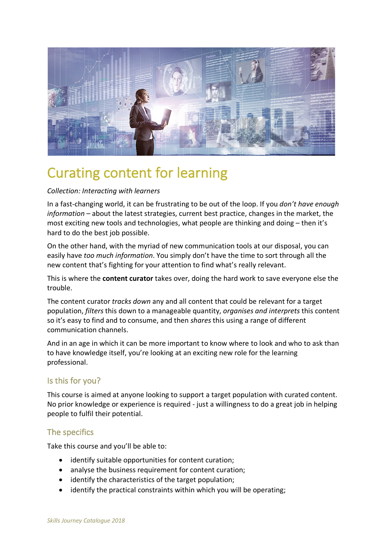

# Curating content for learning

## *Collection: Interacting with learners*

In a fast-changing world, it can be frustrating to be out of the loop. If you *don't have enough information* – about the latest strategies, current best practice, changes in the market, the most exciting new tools and technologies, what people are thinking and doing – then it's hard to do the best job possible.

On the other hand, with the myriad of new communication tools at our disposal, you can easily have *too much information*. You simply don't have the time to sort through all the new content that's fighting for your attention to find what's really relevant.

This is where the **content curator** takes over, doing the hard work to save everyone else the trouble.

The content curator *tracks down* any and all content that could be relevant for a target population, *filters* this down to a manageable quantity, *organises and interprets* this content so it's easy to find and to consume, and then *shares* this using a range of different communication channels.

And in an age in which it can be more important to know where to look and who to ask than to have knowledge itself, you're looking at an exciting new role for the learning professional.

## Is this for you?

This course is aimed at anyone looking to support a target population with curated content. No prior knowledge or experience is required - just a willingness to do a great job in helping people to fulfil their potential.

## The specifics

Take this course and you'll be able to:

- identify suitable opportunities for content curation;
- analyse the business requirement for content curation;
- identify the characteristics of the target population;
- identify the practical constraints within which you will be operating;